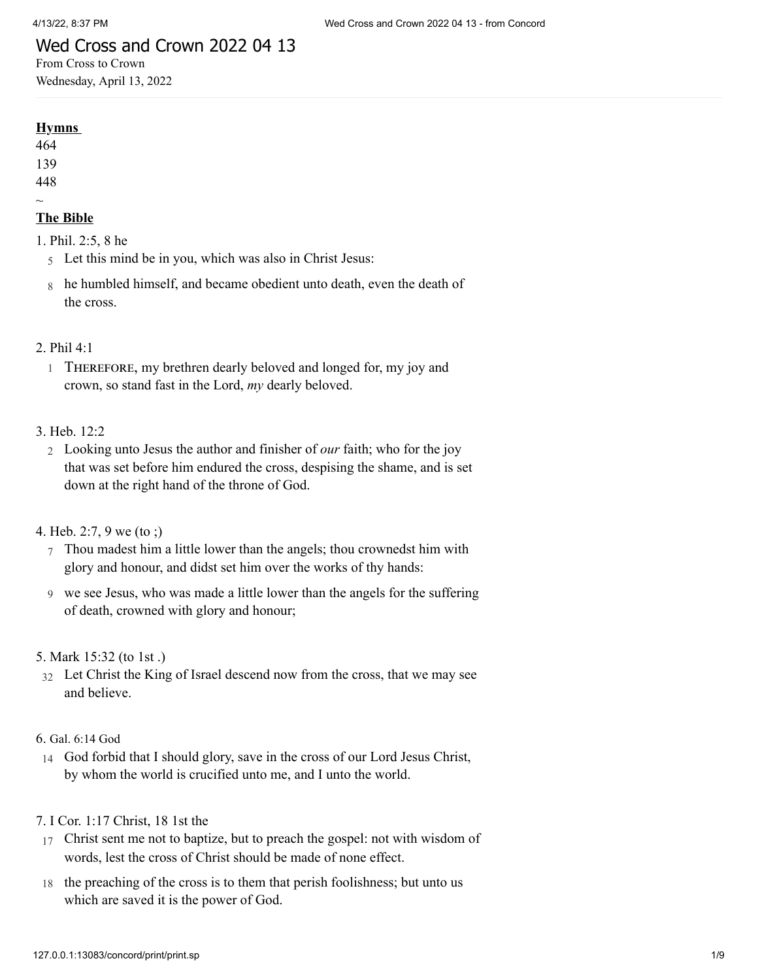## Wed Cross and Crown 2022 04 13

From Cross to Crown Wednesday, April 13, 2022

#### **Hymns**

464 139

448  $\sim$ 

## **The Bible**

1. [Phil. 2:5, 8 he](http://www.concordworks.com/citation/Phil.%202:5,%208%20he)

- 5 Let this mind be in you, which was also in Christ Jesus:
- 8 he humbled himself, and became obedient unto death, even the death of the cross.

## 2. [Phil 4:1](http://www.concordworks.com/citation/Phil%204:1)

1 Therefore, my brethren dearly beloved and longed for, my joy and crown, so stand fast in the Lord, *my* dearly beloved.

## 3. [Heb. 12:2](http://www.concordworks.com/citation/Heb.%2012:2)

2 Looking unto Jesus the author and finisher of *our* faith; who for the joy that was set before him endured the cross, despising the shame, and is set down at the right hand of the throne of God.

### 4. [Heb. 2:7, 9 we \(to ;\)](http://www.concordworks.com/citation/Heb.%202:7,%209%20we%20(to%20;))

- 7 Thou madest him a little lower than the angels; thou crownedst him with glory and honour, and didst set him over the works of thy hands:
- 9 we see Jesus, who was made a little lower than the angels for the suffering of death, crowned with glory and honour;

#### 5. [Mark 15:32 \(to 1st .\)](http://www.concordworks.com/citation/Mark%2015:32%20(to%201st%20.))

32 Let Christ the King of Israel descend now from the cross, that we may see and believe.

#### 6. Gal. [6:14](http://www.concordworks.com/citation/Gal.%206:14%20God) God

14 God forbid that I should glory, save in the cross of our Lord Jesus Christ, by whom the world is crucified unto me, and I unto the world.

## 7. [I Cor. 1:17 Christ, 18 1st the](http://www.concordworks.com/citation/I%20Cor.%201:17%20Christ,%2018%201st%20the)

- 17 Christ sent me not to baptize, but to preach the gospel: not with wisdom of words, lest the cross of Christ should be made of none effect.
- 18 the preaching of the cross is to them that perish foolishness; but unto us which are saved it is the power of God.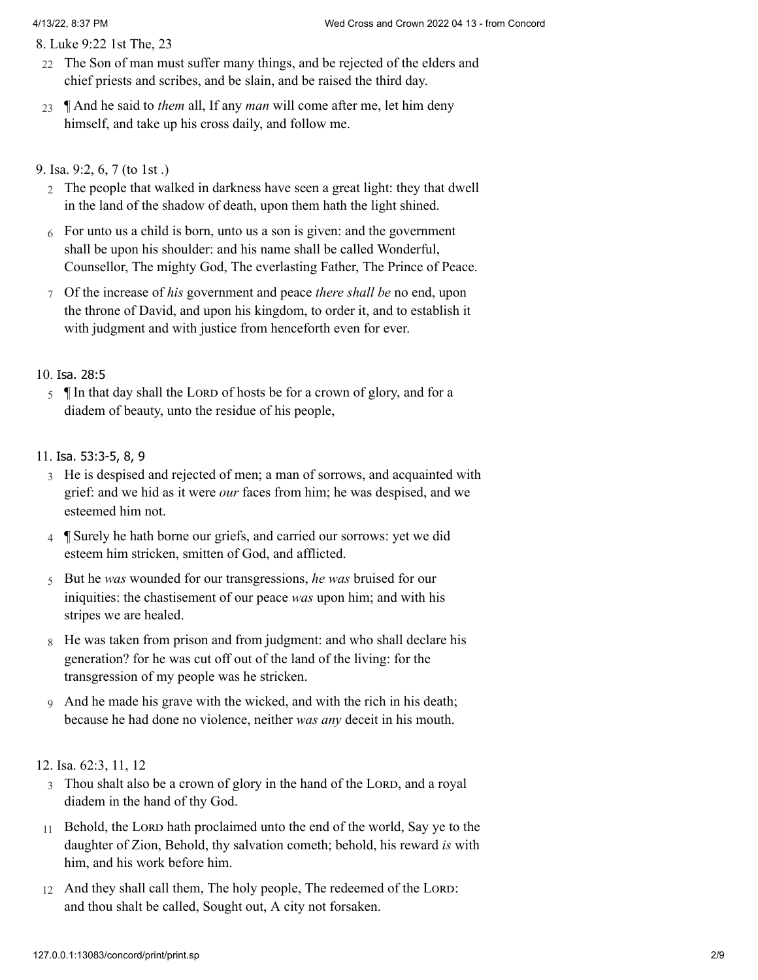8. [Luke 9:22 1st The, 23](http://www.concordworks.com/citation/Luke%209:22%201st%20The,%2023)

- 22 The Son of man must suffer many things, and be rejected of the elders and chief priests and scribes, and be slain, and be raised the third day.
- 23 ¶ And he said to *them* all, If any *man* will come after me, let him deny himself, and take up his cross daily, and follow me.

## 9. [Isa. 9:2, 6, 7 \(to 1st .\)](http://www.concordworks.com/citation/Isa.%209:2,%206,%207%20(to%201st%20.))

- 2 The people that walked in darkness have seen a great light: they that dwell in the land of the shadow of death, upon them hath the light shined.
- 6 For unto us a child is born, unto us a son is given: and the government shall be upon his shoulder: and his name shall be called Wonderful, Counsellor, The mighty God, The everlasting Father, The Prince of Peace.
- 7 Of the increase of *his* government and peace *there shall be* no end, upon the throne of David, and upon his kingdom, to order it, and to establish it with judgment and with justice from henceforth even for ever.

## 10. Isa. [28:5](http://www.concordworks.com/citation/Isa.%2028:5)

5 IIn that day shall the LORD of hosts be for a crown of glory, and for a diadem of beauty, unto the residue of his people,

## 11. Isa. [53:3-5,](http://www.concordworks.com/citation/Isa.%2053:3-5,%208,%209) 8, 9

- 3 He is despised and rejected of men; a man of sorrows, and acquainted with grief: and we hid as it were *our* faces from him; he was despised, and we esteemed him not.
- 4 ¶ Surely he hath borne our griefs, and carried our sorrows: yet we did esteem him stricken, smitten of God, and afflicted.
- 5 But he *was* wounded for our transgressions, *he was* bruised for our iniquities: the chastisement of our peace *was* upon him; and with his stripes we are healed.
- 8 He was taken from prison and from judgment: and who shall declare his generation? for he was cut off out of the land of the living: for the transgression of my people was he stricken.
- 9 And he made his grave with the wicked, and with the rich in his death; because he had done no violence, neither *was any* deceit in his mouth.

#### 12. [Isa. 62:3, 11, 12](http://www.concordworks.com/citation/Isa.%2062:3,%2011,%2012)

- 3 Thou shalt also be a crown of glory in the hand of the LORD, and a royal diadem in the hand of thy God.
- 11 Behold, the LORD hath proclaimed unto the end of the world, Say ye to the daughter of Zion, Behold, thy salvation cometh; behold, his reward *is* with him, and his work before him.
- 12 And they shall call them, The holy people, The redeemed of the LORD: and thou shalt be called, Sought out, A city not forsaken.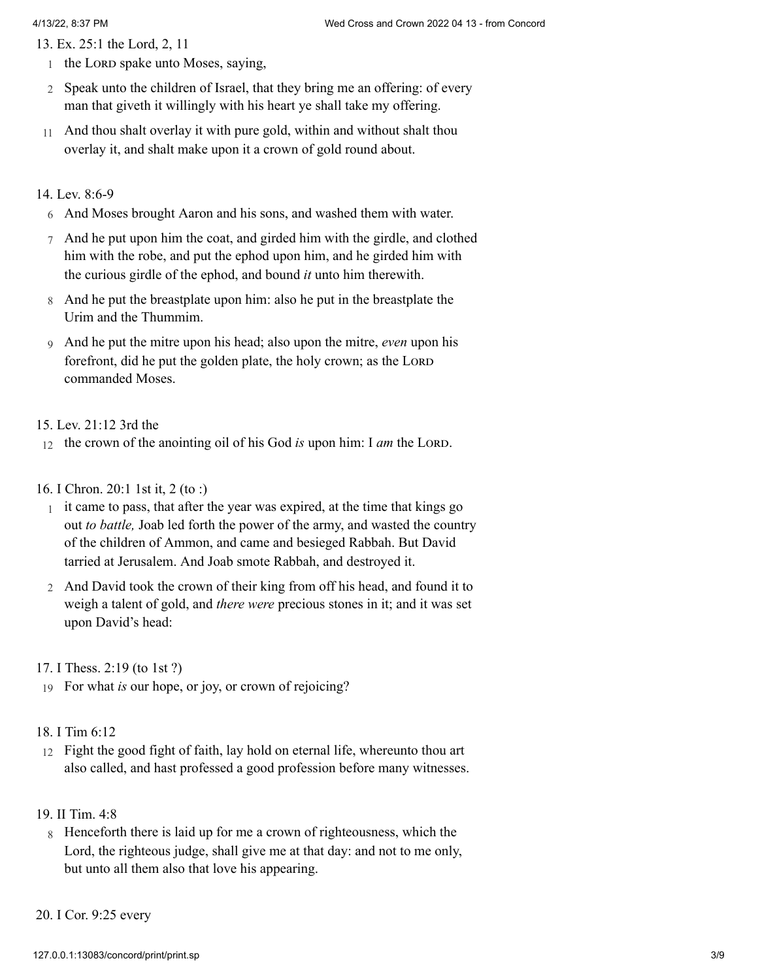13. [Ex. 25:1 the Lord, 2, 11](http://www.concordworks.com/citation/Ex.%2025:1%20the%20Lord,%202,%2011)

- 1 the Lorn spake unto Moses, saying,
- 2 Speak unto the children of Israel, that they bring me an offering: of every man that giveth it willingly with his heart ye shall take my offering.
- 11 And thou shalt overlay it with pure gold, within and without shalt thou overlay it, and shalt make upon it a crown of gold round about.

#### 14. [Lev. 8:6-9](http://www.concordworks.com/citation/Lev.%208:6-9)

- 6 And Moses brought Aaron and his sons, and washed them with water.
- 7 And he put upon him the coat, and girded him with the girdle, and clothed him with the robe, and put the ephod upon him, and he girded him with the curious girdle of the ephod, and bound *it* unto him therewith.
- 8 And he put the breastplate upon him: also he put in the breastplate the Urim and the Thummim.
- 9 And he put the mitre upon his head; also upon the mitre, *even* upon his forefront, did he put the golden plate, the holy crown; as the LORD commanded Moses.

#### 15. [Lev. 21:12 3rd the](http://www.concordworks.com/citation/Lev.%2021:12%203rd%20the)

- 12 the crown of the anointing oil of his God *is* upon him: I *am* the LORD.
- 16. [I Chron. 20:1 1st it, 2 \(to :\)](http://www.concordworks.com/citation/I%20Chron.%2020:1%201st%20it,%202%20(to%20:))
	- 1 it came to pass, that after the year was expired, at the time that kings go out *to battle,* Joab led forth the power of the army, and wasted the country of the children of Ammon, and came and besieged Rabbah. But David tarried at Jerusalem. And Joab smote Rabbah, and destroyed it.
	- 2 And David took the crown of their king from off his head, and found it to weigh a talent of gold, and *there were* precious stones in it; and it was set upon David's head:

17. [I Thess. 2:19 \(to 1st ?\)](http://www.concordworks.com/citation/I%20Thess.%202:19%20(to%201st%20?))

- 19 For what *is* our hope, or joy, or crown of rejoicing?
- 18. [I Tim 6:12](http://www.concordworks.com/citation/I%20Tim%206:12)
- 12 Fight the good fight of faith, lay hold on eternal life, whereunto thou art also called, and hast professed a good profession before many witnesses.
- 19. [II Tim. 4:8](http://www.concordworks.com/citation/II%20Tim.%204:8)
- 8 Henceforth there is laid up for me a crown of righteousness, which the Lord, the righteous judge, shall give me at that day: and not to me only, but unto all them also that love his appearing.

#### 20. [I Cor. 9:25 every](http://www.concordworks.com/citation/I%20Cor.%209:25%20every)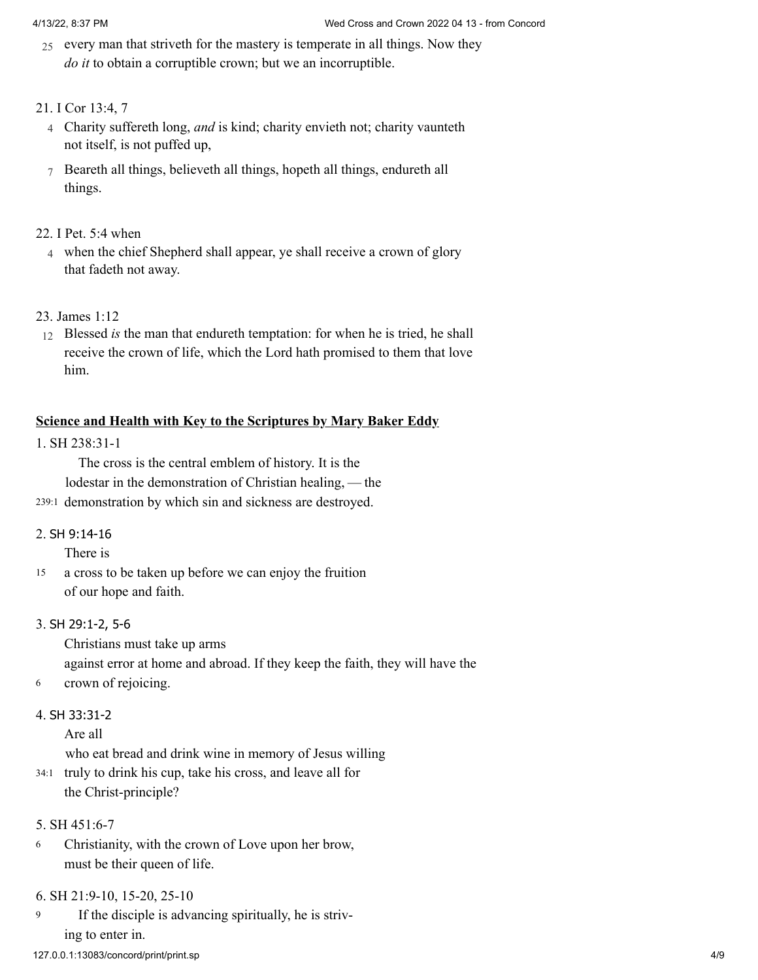25 every man that striveth for the mastery is temperate in all things. Now they *do it* to obtain a corruptible crown; but we an incorruptible.

## 21. [I Cor 13:4, 7](http://www.concordworks.com/citation/I%20Cor%2013:4,%207)

- 4 Charity suffereth long, *and* is kind; charity envieth not; charity vaunteth not itself, is not puffed up,
- 7 Beareth all things, believeth all things, hopeth all things, endureth all things.

## 22. [I Pet. 5:4 when](http://www.concordworks.com/citation/I%20Pet.%205:4%20when)

4 when the chief Shepherd shall appear, ye shall receive a crown of glory that fadeth not away.

## 23. [James 1:12](http://www.concordworks.com/citation/James%201:12)

12 Blessed *is* the man that endureth temptation: for when he is tried, he shall receive the crown of life, which the Lord hath promised to them that love him.

## **Science and Health with Key to the Scriptures by Mary Baker Eddy**

## 1. [SH 238:31-1](http://www.concordworks.com/citation/SH%20238:31-1)

The cross is the central emblem of history. It is the lodestar in the demonstration of Christian healing, — the

239:1 demonstration by which sin and sickness are destroyed.

#### 2. SH [9:14-16](http://www.concordworks.com/citation/SH%209:14-16)

There is

a cross to be taken up before we can enjoy the fruition of our hope and faith. 15

## 3. SH [29:1-2,](http://www.concordworks.com/citation/SH%2029:1-2,%205-6) 5-6

Christians must take up arms against error at home and abroad. If they keep the faith, they will have the

6 crown of rejoicing.

## 4. SH [33:31-2](http://www.concordworks.com/citation/SH%2033:31-2)

Are all

who eat bread and drink wine in memory of Jesus willing

34:1 truly to drink his cup, take his cross, and leave all for the Christ-principle?

## 5. [SH 451:6-7](http://www.concordworks.com/citation/SH%20451:6-7)

Christianity, with the crown of Love upon her brow, must be their queen of life. 6

#### 6. [SH 21:9-10, 15-20, 25-10](http://www.concordworks.com/citation/SH%2021:9-10,%2015-20,%2025-10)

If the disciple is advancing spiritually, he is striving to enter in. 9

#### 127.0.0.1:13083/concord/print/print.sp 4/9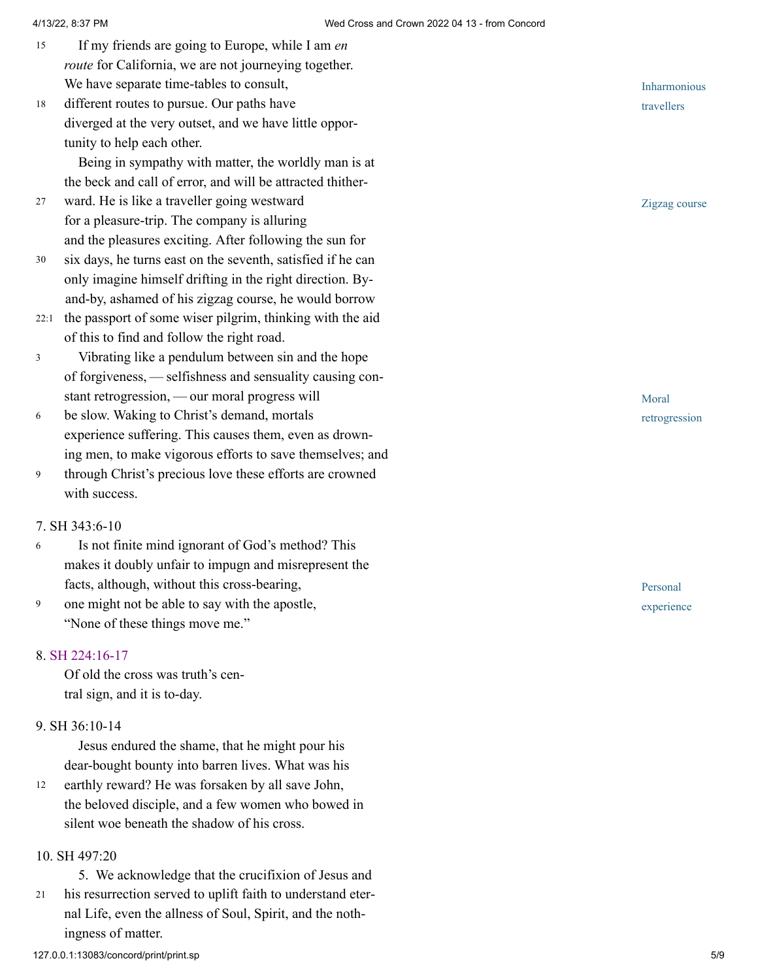- If my friends are going to Europe, while I am *en route* for California, we are not journeying together. We have separate time-tables to consult, 15
- different routes to pursue. Our paths have diverged at the very outset, and we have little oppor‐ tunity to help each other. 18

Being in sympathy with matter, the worldly man is at the beck and call of error, and will be attracted thither‐

- ward. He is like a traveller going westward for a pleasure-trip. The company is alluring and the pleasures exciting. After following the sun for 27
- six days, he turns east on the seventh, satisfied if he can only imagine himself drifting in the right direction. Byand-by, ashamed of his zigzag course, he would borrow 30
- 22:1 the passport of some wiser pilgrim, thinking with the aid of this to find and follow the right road.
- Vibrating like a pendulum between sin and the hope of forgiveness, — selfishness and sensuality causing con‐ stant retrogression, — our moral progress will 3
- be slow. Waking to Christ's demand, mortals experience suffering. This causes them, even as drown‐ ing men, to make vigorous efforts to save themselves; and 6
- through Christ's precious love these efforts are crowned with success. 9

#### 7. [SH 343:6-10](http://www.concordworks.com/citation/SH%20343:6-10)

- Is not finite mind ignorant of God's method? This makes it doubly unfair to impugn and misrepresent the facts, although, without this cross-bearing, 6
- one might not be able to say with the apostle, "None of these things move me." 9

#### 8. [SH 224:16-17](http://www.concordworks.com/citation/SH%20224:16-17)

Of old the cross was truth's cen‐ tral sign, and it is to-day.

#### 9. [SH 36:10-14](http://www.concordworks.com/citation/SH%2036:10-14)

Jesus endured the shame, that he might pour his dear-bought bounty into barren lives. What was his

earthly reward? He was forsaken by all save John, the beloved disciple, and a few women who bowed in silent woe beneath the shadow of his cross. 12

#### 10. [SH 497:20](http://www.concordworks.com/citation/SH%20497:20)

21

5. We acknowledge that the crucifixion of Jesus and his resurrection served to uplift faith to understand eternal Life, even the allness of Soul, Spirit, and the noth‐ ingness of matter.



Zigzag course

Moral retrogression

Personal experience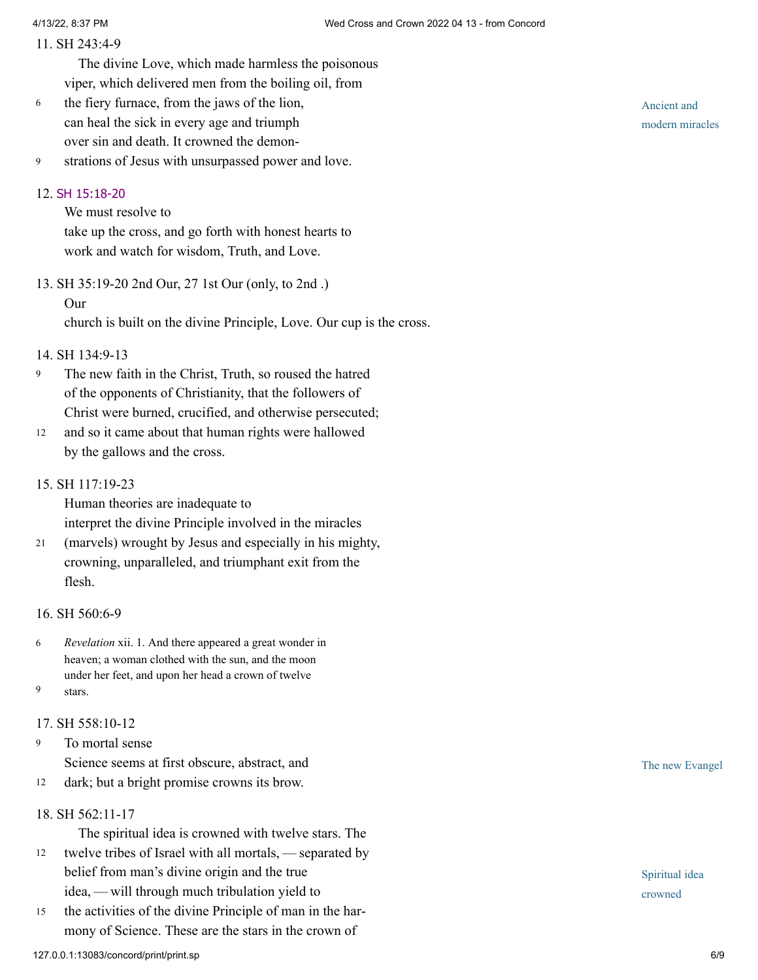#### 11. [SH 243:4-9](http://www.concordworks.com/citation/SH%20243:4-9)

The divine Love, which made harmless the poisonous viper, which delivered men from the boiling oil, from

- the fiery furnace, from the jaws of the lion, can heal the sick in every age and triumph over sin and death. It crowned the demon‐ 6
- strations of Jesus with unsurpassed power and love. 9

#### 12. SH [15:18-20](http://www.concordworks.com/citation/SH%2015:18-20)

We must resolve to take up the cross, and go forth with honest hearts to work and watch for wisdom, Truth, and Love.

13. [SH 35:19-20 2nd Our, 27 1st Our \(only, to 2nd .\)](http://www.concordworks.com/citation/SH%2035:19-20%202nd%20Our,%2027%201st%20Our%20(only,%20to%202nd%20.))

#### Our

church is built on the divine Principle, Love. Our cup is the cross.

## 14. [SH 134:9-13](http://www.concordworks.com/citation/SH%20134:9-13)

- The new faith in the Christ, Truth, so roused the hatred of the opponents of Christianity, that the followers of Christ were burned, crucified, and otherwise persecuted; 9
- and so it came about that human rights were hallowed by the gallows and the cross. 12

#### 15. [SH 117:19-23](http://www.concordworks.com/citation/SH%20117:19-23)

Human theories are inadequate to interpret the divine Principle involved in the miracles

(marvels) wrought by Jesus and especially in his mighty, crowning, unparalleled, and triumphant exit from the flesh. 21

#### 16. [SH 560:6-9](http://www.concordworks.com/citation/SH%20560:6-9)

*Revelation* xii. 1. And there appeared a great wonder in heaven; a woman clothed with the sun, and the moon under her feet, and upon her head a crown of twelve stars. 6 9

# 17. [SH 558:10-12](http://www.concordworks.com/citation/SH%20558:10-12)

To mortal sense Science seems at first obscure, abstract, and 9

- dark; but a bright promise crowns its brow. 12
- 18. [SH 562:11-17](http://www.concordworks.com/citation/SH%20562:11-17)

The spiritual idea is crowned with twelve stars. The

- twelve tribes of Israel with all mortals, — separated by belief from man's divine origin and the true idea, — will through much tribulation yield to 12
- the activities of the divine Principle of man in the harmony of Science. These are the stars in the crown of 15

Ancient and modern miracles

The new Evangel

Spiritual idea crowned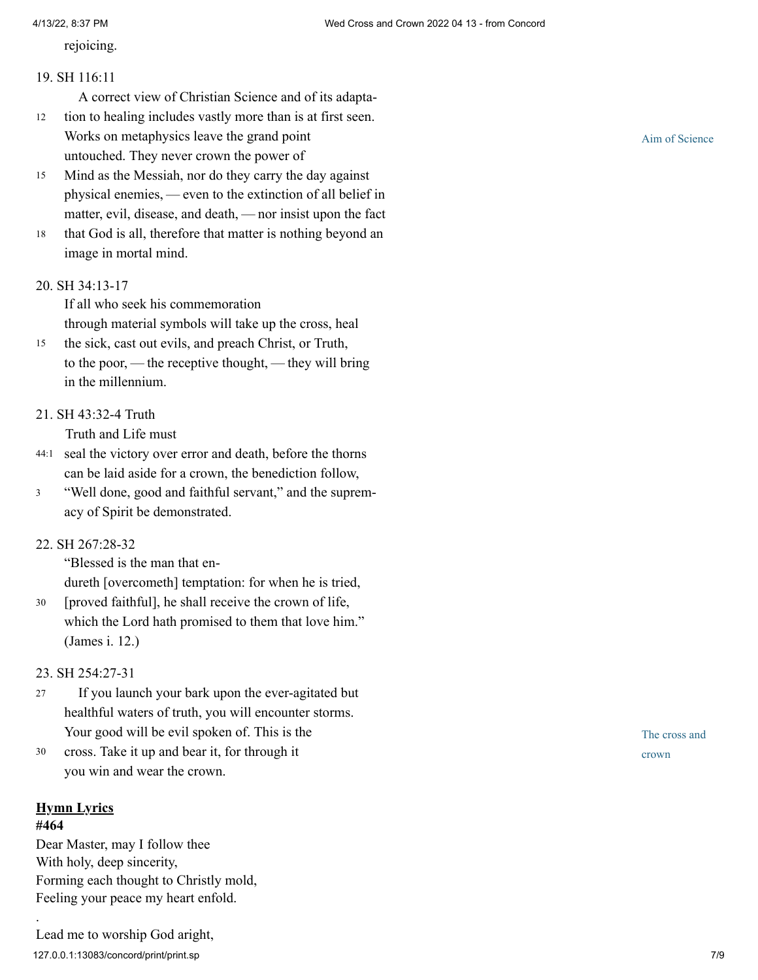rejoicing.

#### 19. [SH 116:11](http://www.concordworks.com/citation/SH%20116:11)

A correct view of Christian Science and of its adapta‐

- tion to healing includes vastly more than is at first seen. Works on metaphysics leave the grand point untouched. They never crown the power of 12
- Mind as the Messiah, nor do they carry the day against physical enemies, — even to the extinction of all belief in matter, evil, disease, and death, — nor insist upon the fact 15
- that God is all, therefore that matter is nothing beyond an image in mortal mind. 18

### 20. [SH 34:13-17](http://www.concordworks.com/citation/SH%2034:13-17)

If all who seek his commemoration through material symbols will take up the cross, heal

- the sick, cast out evils, and preach Christ, or Truth, to the poor, — the receptive thought, — they will bring in the millennium. 15
- 21. [SH 43:32-4 Truth](http://www.concordworks.com/citation/SH%2043:32-4%20Truth)

Truth and Life must

- 44:1 seal the victory over error and death, before the thorns can be laid aside for a crown, the benediction follow,
- "Well done, good and faithful servant," and the supremacy of Spirit be demonstrated. 3
- 22. [SH 267:28-32](http://www.concordworks.com/citation/SH%20267:28-32)

"Blessed is the man that en‐

dureth [overcometh] temptation: for when he is tried,

[proved faithful], he shall receive the crown of life, which the Lord hath promised to them that love him." (James i. 12.) 30

#### 23. [SH 254:27-31](http://www.concordworks.com/citation/SH%20254:27-31)

- If you launch your bark upon the ever-agitated but healthful waters of truth, you will encounter storms. Your good will be evil spoken of. This is the 27
- cross. Take it up and bear it, for through it you win and wear the crown. 30

#### **Hymn Lyrics #464**

.

Dear Master, may I follow thee With holy, deep sincerity, Forming each thought to Christly mold, Feeling your peace my heart enfold.

Aim of Science

The cross and crown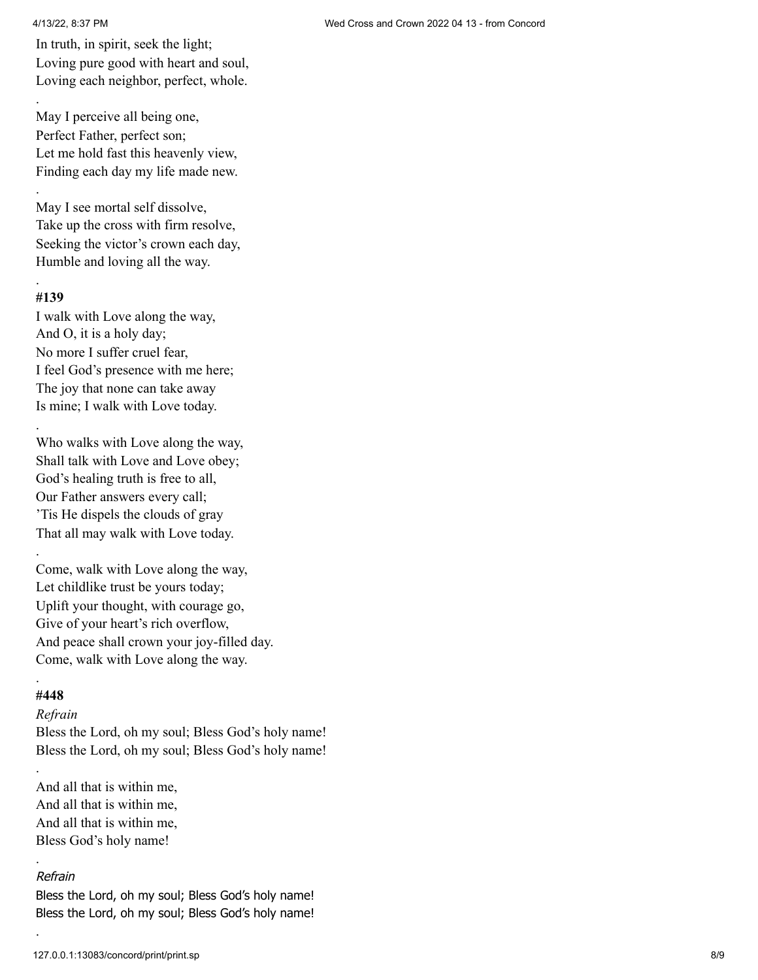.

.

In truth, in spirit, seek the light; Loving pure good with heart and soul, Loving each neighbor, perfect, whole.

May I perceive all being one, Perfect Father, perfect son; Let me hold fast this heavenly view, Finding each day my life made new.

May I see mortal self dissolve, Take up the cross with firm resolve, Seeking the victor's crown each day, Humble and loving all the way.

## **#139**

.

.

I walk with Love along the way, And O, it is a holy day; No more I suffer cruel fear, I feel God's presence with me here; The joy that none can take away Is mine; I walk with Love today.

Who walks with Love along the way, Shall talk with Love and Love obey; God's healing truth is free to all, Our Father answers every call; 'Tis He dispels the clouds of gray That all may walk with Love today. .

Come, walk with Love along the way, Let childlike trust be yours today; Uplift your thought, with courage go, Give of your heart's rich overflow, And peace shall crown your joy-filled day. Come, walk with Love along the way.

## **#448**

.

.

.

.

## *Refrain*

Bless the Lord, oh my soul; Bless God's holy name! Bless the Lord, oh my soul; Bless God's holy name!

And all that is within me, And all that is within me, And all that is within me, Bless God's holy name!

## Refrain

Bless the Lord, oh my soul; Bless God's holy name! Bless the Lord, oh my soul; Bless God's holy name!